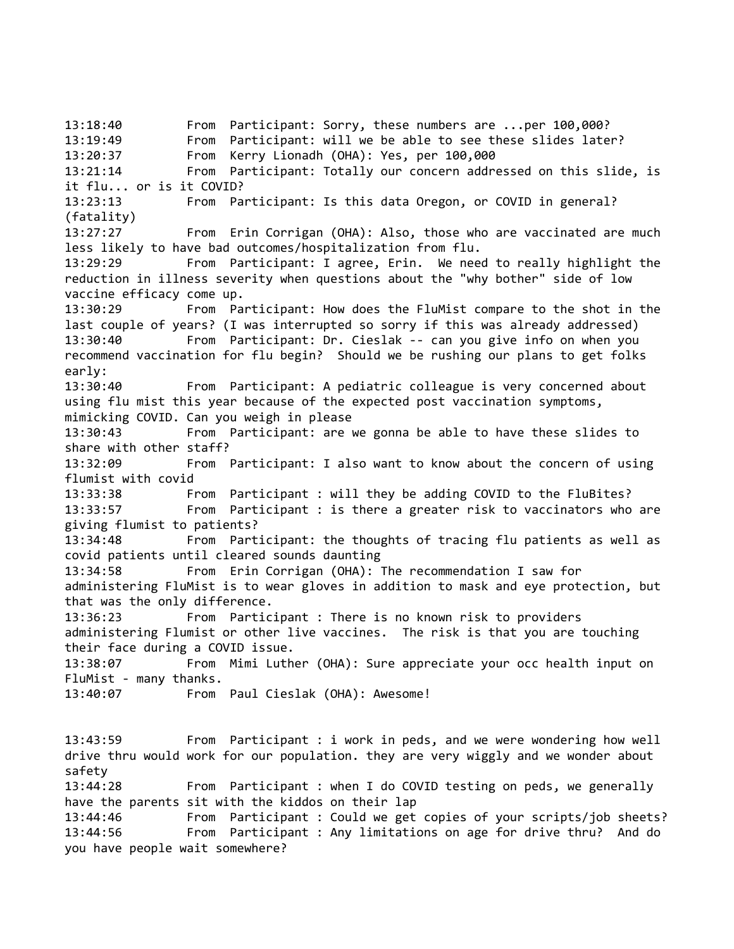13:18:40 From Participant: Sorry, these numbers are ...per 100,000? 13:19:49 From Participant: will we be able to see these slides later? 13:20:37 From Kerry Lionadh (OHA): Yes, per 100,000 13:21:14 From Participant: Totally our concern addressed on this slide, is it flu... or is it COVID? 13:23:13 From Participant: Is this data Oregon, or COVID in general? (fatality) 13:27:27 From Erin Corrigan (OHA): Also, those who are vaccinated are much less likely to have bad outcomes/hospitalization from flu. 13:29:29 From Participant: I agree, Erin. We need to really highlight the reduction in illness severity when questions about the "why bother" side of low vaccine efficacy come up. 13:30:29 From Participant: How does the FluMist compare to the shot in the last couple of years? (I was interrupted so sorry if this was already addressed) 13:30:40 From Participant: Dr. Cieslak -- can you give info on when you recommend vaccination for flu begin? Should we be rushing our plans to get folks early: 13:30:40 From Participant: A pediatric colleague is very concerned about using flu mist this year because of the expected post vaccination symptoms, mimicking COVID. Can you weigh in please 13:30:43 From Participant: are we gonna be able to have these slides to share with other staff? 13:32:09 From Participant: I also want to know about the concern of using flumist with covid 13:33:38 From Participant : will they be adding COVID to the FluBites? 13:33:57 From Participant : is there a greater risk to vaccinators who are giving flumist to patients? 13:34:48 From Participant: the thoughts of tracing flu patients as well as covid patients until cleared sounds daunting 13:34:58 From Erin Corrigan (OHA): The recommendation I saw for administering FluMist is to wear gloves in addition to mask and eye protection, but that was the only difference. 13:36:23 From Participant : There is no known risk to providers administering Flumist or other live vaccines. The risk is that you are touching their face during a COVID issue. 13:38:07 From Mimi Luther (OHA): Sure appreciate your occ health input on FluMist - many thanks. 13:40:07 From Paul Cieslak (OHA): Awesome! 13:43:59 From Participant : i work in peds, and we were wondering how well drive thru would work for our population. they are very wiggly and we wonder about safety 13:44:28 From Participant : when I do COVID testing on peds, we generally have the parents sit with the kiddos on their lap 13:44:46 From Participant : Could we get copies of your scripts/job sheets? 13:44:56 From Participant : Any limitations on age for drive thru? And do you have people wait somewhere?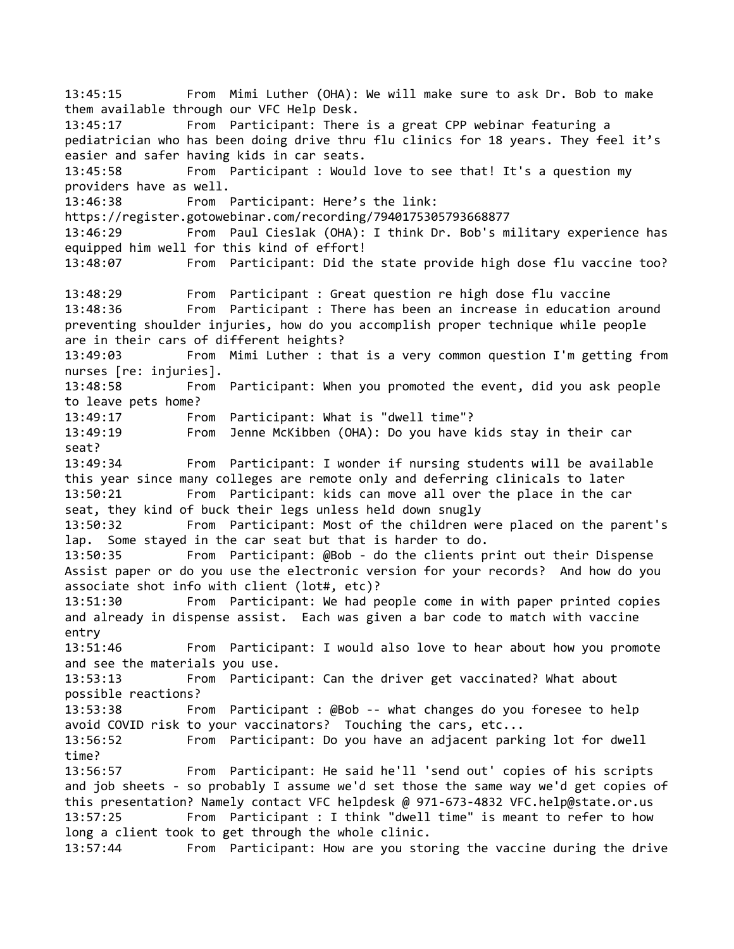13:45:15 From Mimi Luther (OHA): We will make sure to ask Dr. Bob to make them available through our VFC Help Desk. 13:45:17 From Participant: There is a great CPP webinar featuring a pediatrician who has been doing drive thru flu clinics for 18 years. They feel it's easier and safer having kids in car seats. 13:45:58 From Participant : Would love to see that! It's a question my providers have as well. 13:46:38 From Participant: Here's the link: https://register.gotowebinar.com/recording/7940175305793668877 13:46:29 From Paul Cieslak (OHA): I think Dr. Bob's military experience has equipped him well for this kind of effort! 13:48:07 From Participant: Did the state provide high dose flu vaccine too? 13:48:29 From Participant : Great question re high dose flu vaccine 13:48:36 From Participant : There has been an increase in education around preventing shoulder injuries, how do you accomplish proper technique while people are in their cars of different heights? 13:49:03 From Mimi Luther : that is a very common question I'm getting from nurses [re: injuries]. 13:48:58 From Participant: When you promoted the event, did you ask people to leave pets home? 13:49:17 From Participant: What is "dwell time"? 13:49:19 From Jenne McKibben (OHA): Do you have kids stay in their car seat? 13:49:34 From Participant: I wonder if nursing students will be available this year since many colleges are remote only and deferring clinicals to later 13:50:21 From Participant: kids can move all over the place in the car seat, they kind of buck their legs unless held down snugly 13:50:32 From Participant: Most of the children were placed on the parent's lap. Some stayed in the car seat but that is harder to do. 13:50:35 From Participant: @Bob - do the clients print out their Dispense Assist paper or do you use the electronic version for your records? And how do you associate shot info with client (lot#, etc)? 13:51:30 From Participant: We had people come in with paper printed copies and already in dispense assist. Each was given a bar code to match with vaccine entry 13:51:46 From Participant: I would also love to hear about how you promote and see the materials you use. 13:53:13 From Participant: Can the driver get vaccinated? What about possible reactions? 13:53:38 From Participant : @Bob -- what changes do you foresee to help avoid COVID risk to your vaccinators? Touching the cars, etc... 13:56:52 From Participant: Do you have an adjacent parking lot for dwell time? 13:56:57 From Participant: He said he'll 'send out' copies of his scripts and job sheets - so probably I assume we'd set those the same way we'd get copies of this presentation? Namely contact VFC helpdesk @ 971-673-4832 VFC.help@state.or.us 13:57:25 From Participant : I think "dwell time" is meant to refer to how long a client took to get through the whole clinic. 13:57:44 From Participant: How are you storing the vaccine during the drive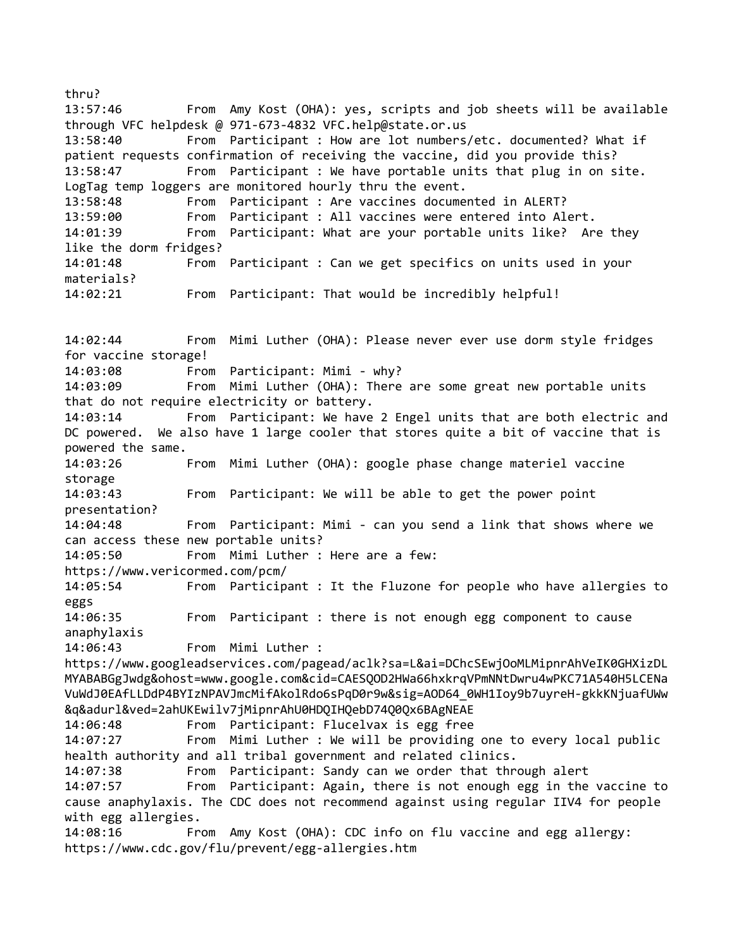thru? 13:57:46 From Amy Kost (OHA): yes, scripts and job sheets will be available through VFC helpdesk @ 971-673-4832 VFC.help@state.or.us 13:58:40 From Participant : How are lot numbers/etc. documented? What if patient requests confirmation of receiving the vaccine, did you provide this? 13:58:47 From Participant : We have portable units that plug in on site. LogTag temp loggers are monitored hourly thru the event. 13:58:48 From Participant : Are vaccines documented in ALERT? Participant : All vaccines were entered into Alert. 14:01:39 From Participant: What are your portable units like? Are they like the dorm fridges? 14:01:48 From Participant : Can we get specifics on units used in your materials? 14:02:21 From Participant: That would be incredibly helpful! 14:02:44 From Mimi Luther (OHA): Please never ever use dorm style fridges for vaccine storage! 14:03:08 From Participant: Mimi - why? 14:03:09 From Mimi Luther (OHA): There are some great new portable units that do not require electricity or battery. 14:03:14 From Participant: We have 2 Engel units that are both electric and DC powered. We also have 1 large cooler that stores quite a bit of vaccine that is powered the same. 14:03:26 From Mimi Luther (OHA): google phase change materiel vaccine storage 14:03:43 From Participant: We will be able to get the power point presentation? 14:04:48 From Participant: Mimi - can you send a link that shows where we can access these new portable units? 14:05:50 From Mimi Luther : Here are a few: https://www.vericormed.com/pcm/ 14:05:54 From Participant : It the Fluzone for people who have allergies to eggs 14:06:35 From Participant : there is not enough egg component to cause anaphylaxis 14:06:43 From Mimi Luther : https://www.googleadservices.com/pagead/aclk?sa=L&ai=DChcSEwjOoMLMipnrAhVeIK0GHXizDL MYABABGgJwdg&ohost=www.google.com&cid=CAESQOD2HWa66hxkrqVPmNNtDwru4wPKC71A540H5LCENa VuWdJ0EAfLLDdP4BYIzNPAVJmcMifAkolRdo6sPqD0r9w&sig=AOD64\_0WH1Ioy9b7uyreH-gkkKNjuafUWw &q&adurl&ved=2ahUKEwilv7jMipnrAhU0HDQIHQebD74Q0Qx6BAgNEAE 14:06:48 From Participant: Flucelvax is egg free 14:07:27 From Mimi Luther : We will be providing one to every local public health authority and all tribal government and related clinics. 14:07:38 From Participant: Sandy can we order that through alert 14:07:57 From Participant: Again, there is not enough egg in the vaccine to cause anaphylaxis. The CDC does not recommend against using regular IIV4 for people with egg allergies. 14:08:16 From Amy Kost (OHA): CDC info on flu vaccine and egg allergy: https://www.cdc.gov/flu/prevent/egg-allergies.htm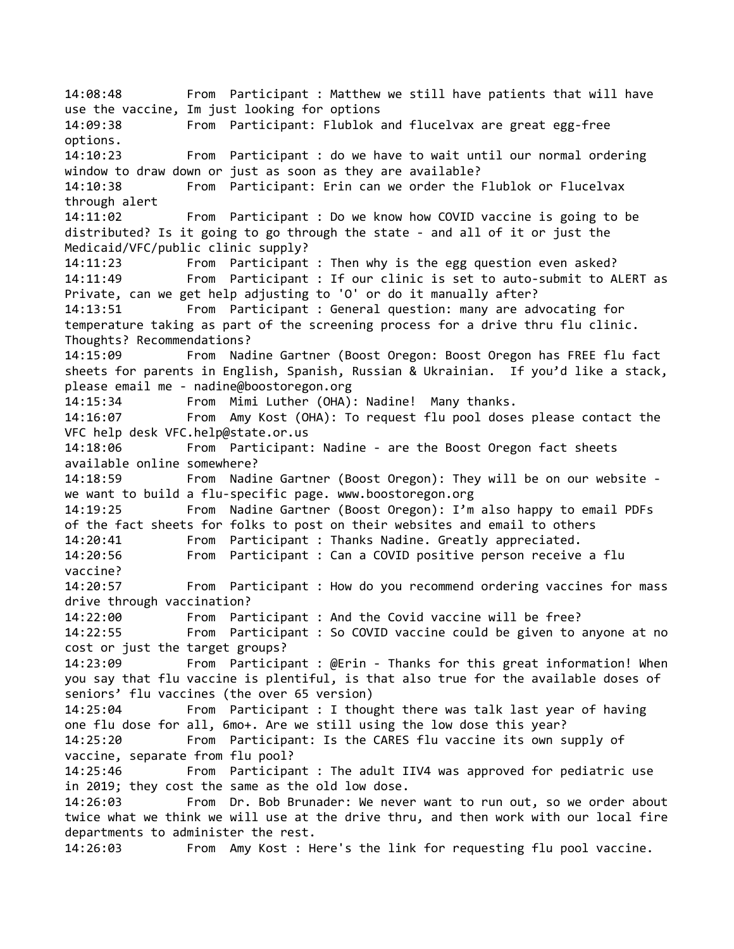14:08:48 From Participant : Matthew we still have patients that will have use the vaccine, Im just looking for options 14:09:38 From Participant: Flublok and flucelvax are great egg-free options. 14:10:23 From Participant : do we have to wait until our normal ordering window to draw down or just as soon as they are available? 14:10:38 From Participant: Erin can we order the Flublok or Flucelvax through alert 14:11:02 From Participant : Do we know how COVID vaccine is going to be distributed? Is it going to go through the state - and all of it or just the Medicaid/VFC/public clinic supply? 14:11:23 From Participant : Then why is the egg question even asked? 14:11:49 From Participant : If our clinic is set to auto-submit to ALERT as Private, can we get help adjusting to 'O' or do it manually after? 14:13:51 From Participant : General question: many are advocating for temperature taking as part of the screening process for a drive thru flu clinic. Thoughts? Recommendations? 14:15:09 From Nadine Gartner (Boost Oregon: Boost Oregon has FREE flu fact sheets for parents in English, Spanish, Russian & Ukrainian. If you'd like a stack, please email me - nadine@boostoregon.org 14:15:34 From Mimi Luther (OHA): Nadine! Many thanks. 14:16:07 From Amy Kost (OHA): To request flu pool doses please contact the VFC help desk VFC.help@state.or.us 14:18:06 From Participant: Nadine - are the Boost Oregon fact sheets available online somewhere? 14:18:59 From Nadine Gartner (Boost Oregon): They will be on our website we want to build a flu-specific page. www.boostoregon.org 14:19:25 From Nadine Gartner (Boost Oregon): I'm also happy to email PDFs of the fact sheets for folks to post on their websites and email to others 14:20:41 From Participant : Thanks Nadine. Greatly appreciated. 14:20:56 From Participant : Can a COVID positive person receive a flu vaccine? 14:20:57 From Participant : How do you recommend ordering vaccines for mass drive through vaccination? 14:22:00 From Participant : And the Covid vaccine will be free? 14:22:55 From Participant : So COVID vaccine could be given to anyone at no cost or just the target groups? 14:23:09 From Participant : @Erin - Thanks for this great information! When you say that flu vaccine is plentiful, is that also true for the available doses of seniors' flu vaccines (the over 65 version) 14:25:04 From Participant : I thought there was talk last year of having one flu dose for all, 6mo+. Are we still using the low dose this year? 14:25:20 From Participant: Is the CARES flu vaccine its own supply of vaccine, separate from flu pool? 14:25:46 From Participant : The adult IIV4 was approved for pediatric use in 2019; they cost the same as the old low dose. 14:26:03 From Dr. Bob Brunader: We never want to run out, so we order about twice what we think we will use at the drive thru, and then work with our local fire departments to administer the rest. 14:26:03 From Amy Kost : Here's the link for requesting flu pool vaccine.